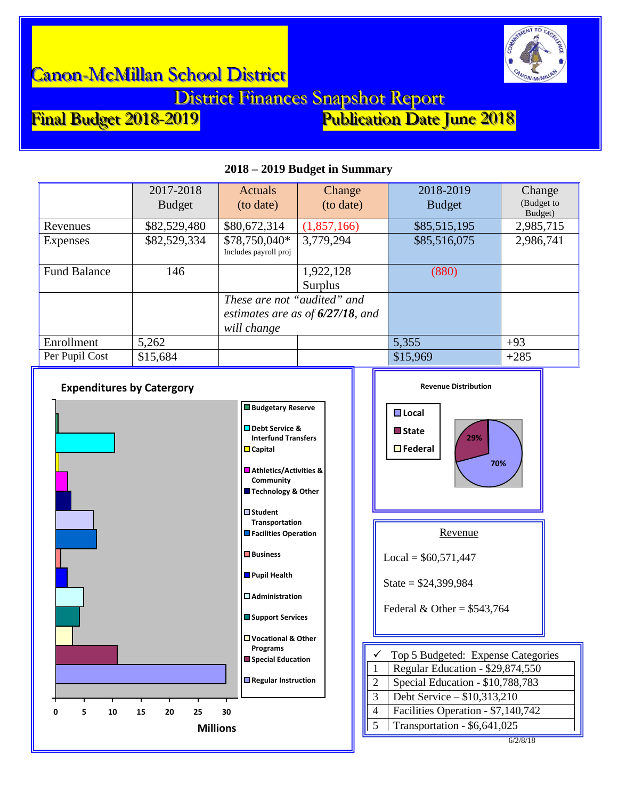

District Finances Snapshot Report<br>Final Budget 2018-2019 Publication Date

l<br>L

Publication Date June 2018

### **2018 – 2019 Budget in Summary**

|                     | 2017-2018     | Change<br>Actuals           |                                     | 2018-2019     | Change                |  |
|---------------------|---------------|-----------------------------|-------------------------------------|---------------|-----------------------|--|
|                     | <b>Budget</b> | (to date)                   | (to date)                           | <b>Budget</b> | (Budget to<br>Budget) |  |
| Revenues            | \$82,529,480  | \$80,672,314                | (1,857,166)                         | \$85,515,195  | 2,985,715             |  |
| Expenses            | \$82,529,334  | \$78,750,040*               | 3,779,294                           | \$85,516,075  | 2,986,741             |  |
|                     |               | Includes payroll proj       |                                     |               |                       |  |
| <b>Fund Balance</b> | 146           |                             | 1,922,128                           | (880)         |                       |  |
|                     |               |                             | Surplus                             |               |                       |  |
|                     |               | These are not "audited" and |                                     |               |                       |  |
|                     |               |                             | estimates are as of $6/27/18$ , and |               |                       |  |
|                     |               | will change                 |                                     |               |                       |  |
| Enrollment          | 5,262         |                             |                                     | 5,355         | $+93$                 |  |
| Per Pupil Cost      | \$15,684      |                             |                                     | \$15,969      | $+285$                |  |

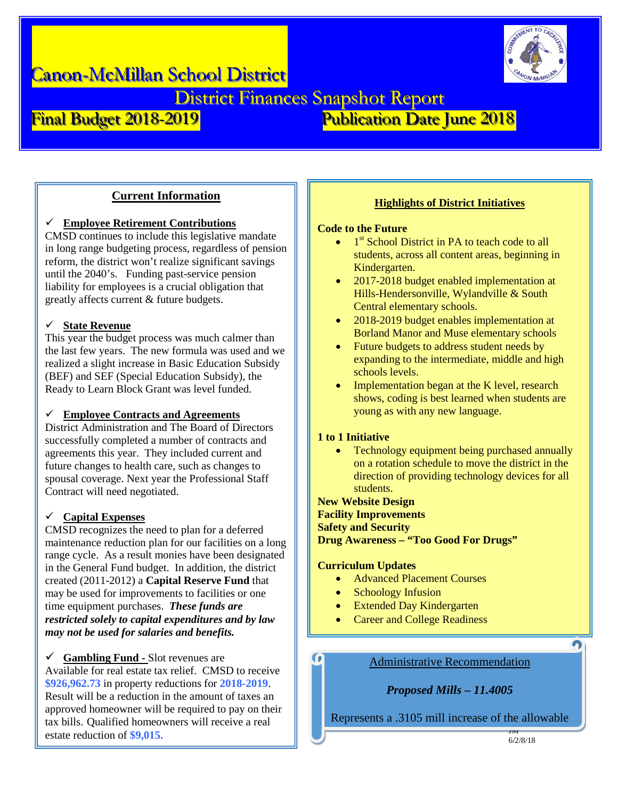

District Finances Snapshot Report<br>Final Budget 2018-2019 Publication Date

l<br>L

## Publication Date June 2018

### **Current Information**

### **Employee Retirement Contributions**

CMSD continues to include this legislative mandate in long range budgeting process, regardless of pension reform, the district won't realize significant savings until the 2040's. Funding past-service pension liability for employees is a crucial obligation that greatly affects current & future budgets.

### **State Revenue**

This year the budget process was much calmer than the last few years. The new formula was used and we realized a slight increase in Basic Education Subsidy (BEF) and SEF (Special Education Subsidy), the Ready to Learn Block Grant was level funded.

### **Employee Contracts and Agreements**

District Administration and The Board of Directors successfully completed a number of contracts and agreements this year. They included current and future changes to health care, such as changes to spousal coverage. Next year the Professional Staff Contract will need negotiated.

### **Capital Expenses**

CMSD recognizes the need to plan for a deferred maintenance reduction plan for our facilities on a long range cycle. As a result monies have been designated in the General Fund budget. In addition, the district created (2011-2012) a **Capital Reserve Fund** that may be used for improvements to facilities or one time equipment purchases. *These funds are restricted solely to capital expenditures and by law may not be used for salaries and benefits.*

 **Gambling Fund -** Slot revenues are Available for real estate tax relief. CMSD to receive

**\$926,962.73** in property reductions for **2018-2019**. Result will be a reduction in the amount of taxes an approved homeowner will be required to pay on their tax bills. Qualified homeowners will receive a real estate reduction of **\$9,015.**

### **Highlights of District Initiatives**

### **Code to the Future**

- 1<sup>st</sup> School District in PA to teach code to all students, across all content areas, beginning in Kindergarten.
- 2017-2018 budget enabled implementation at Hills-Hendersonville, Wylandville & South Central elementary schools.
- 2018-2019 budget enables implementation at Borland Manor and Muse elementary schools
- Future budgets to address student needs by expanding to the intermediate, middle and high schools levels.
- Implementation began at the K level, research shows, coding is best learned when students are young as with any new language.

### **1 to 1 Initiative**

Technology equipment being purchased annually on a rotation schedule to move the district in the direction of providing technology devices for all students.

**New Website Design Facility Improvements Safety and Security Drug Awareness – "Too Good For Drugs"**

### **Curriculum Updates**

G

- Advanced Placement Courses
- Schoology Infusion
- Extended Day Kindergarten
- Career and College Readiness

#### $\bullet$

### Administrative Recommendation

### *Proposed Mills – 11.4005*

Represents a .3105 mill increase of the allowable

Ī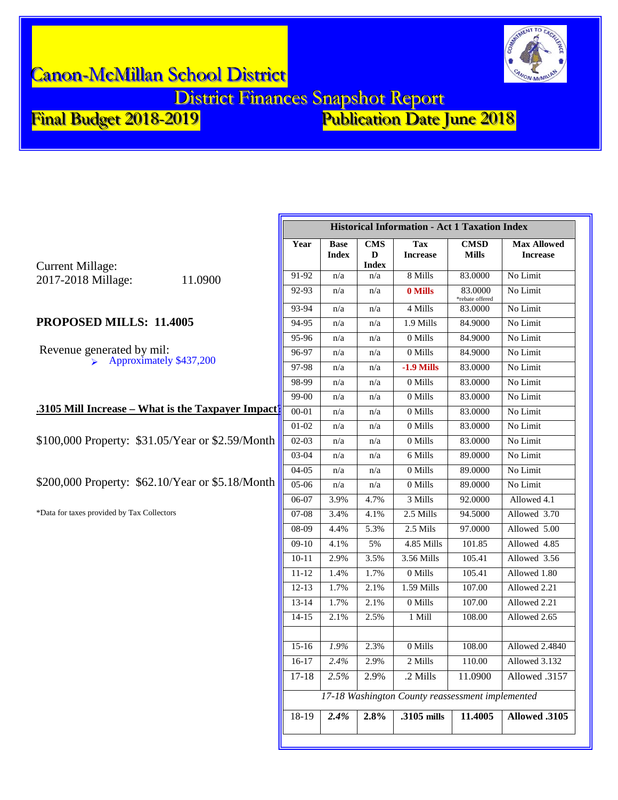

District Finances Snapshot Report<br>Final Budget 2018-2019 Publication Date

l<br>L

Publication Date June 2018

|                                                      | <b>Historical Information - Act 1 Taxation Index</b> |                                                  |                                 |                               |                             |                                       |  |
|------------------------------------------------------|------------------------------------------------------|--------------------------------------------------|---------------------------------|-------------------------------|-----------------------------|---------------------------------------|--|
| <b>Current Millage:</b>                              | Year                                                 | <b>Base</b><br><b>Index</b>                      | <b>CMS</b><br>D<br><b>Index</b> | <b>Tax</b><br><b>Increase</b> | <b>CMSD</b><br><b>Mills</b> | <b>Max Allowed</b><br><b>Increase</b> |  |
| 2017-2018 Millage:<br>11.0900                        | 91-92                                                | n/a                                              | n/a                             | 8 Mills                       | 83.0000                     | No Limit                              |  |
|                                                      | 92-93                                                | n/a                                              | n/a                             | 0 Mills                       | 83.0000<br>*rebate offered  | No Limit                              |  |
|                                                      | 93-94                                                | n/a                                              | n/a                             | 4 Mills                       | 83.0000                     | No Limit                              |  |
| PROPOSED MILLS: 11.4005                              | 94-95                                                | n/a                                              | n/a                             | 1.9 Mills                     | 84.9000                     | No Limit                              |  |
|                                                      | 95-96                                                | n/a                                              | n/a                             | 0 Mills                       | 84.9000                     | No Limit                              |  |
| Revenue generated by mil:<br>Approximately \$437,200 | 96-97                                                | n/a                                              | n/a                             | 0 Mills                       | 84.9000                     | No Limit                              |  |
|                                                      | 97-98                                                | n/a                                              | n/a                             | $-1.9$ Mills                  | 83.0000                     | No Limit                              |  |
|                                                      | 98-99                                                | n/a                                              | n/a                             | 0 Mills                       | 83.0000                     | No Limit                              |  |
|                                                      | $99 - 00$                                            | n/a                                              | n/a                             | 0 Mills                       | 83.0000                     | No Limit                              |  |
| .3105 Mill Increase – What is the Taxpayer Impact    | $00 - 01$                                            | n/a                                              | n/a                             | 0 Mills                       | 83.0000                     | No Limit                              |  |
|                                                      | $01 - 02$                                            | n/a                                              | n/a                             | 0 Mills                       | 83.0000                     | No Limit                              |  |
| \$100,000 Property: \$31.05/Year or \$2.59/Month     | $02-03$                                              | n/a                                              | n/a                             | 0 Mills                       | 83.0000                     | No Limit                              |  |
|                                                      | 03-04                                                | n/a                                              | n/a                             | 6 Mills                       | 89.0000                     | No Limit                              |  |
|                                                      | 04-05                                                | n/a                                              | n/a                             | 0 Mills                       | 89.0000                     | No Limit                              |  |
| \$200,000 Property: \$62.10/Year or \$5.18/Month     | $05-06$                                              | n/a                                              | n/a                             | 0 Mills                       | 89.0000                     | No Limit                              |  |
|                                                      | $06-07$                                              | 3.9%                                             | 4.7%                            | 3 Mills                       | 92.0000                     | Allowed 4.1                           |  |
| *Data for taxes provided by Tax Collectors           | 07-08                                                | 3.4%                                             | 4.1%                            | 2.5 Mills                     | 94.5000                     | Allowed 3.70                          |  |
|                                                      | 08-09                                                | 4.4%                                             | 5.3%                            | 2.5 Mils                      | 97.0000                     | Allowed 5.00                          |  |
|                                                      | $09-10$                                              | 4.1%                                             | 5%                              | 4.85 Mills                    | 101.85                      | Allowed 4.85                          |  |
|                                                      | $10 - 11$                                            | 2.9%                                             | 3.5%                            | 3.56 Mills                    | 105.41                      | Allowed 3.56                          |  |
|                                                      | 11-12                                                | 1.4%                                             | 1.7%                            | 0 Mills                       | 105.41                      | Allowed 1.80                          |  |
|                                                      | $12-13$                                              | 1.7%                                             | 2.1%                            | 1.59 Mills                    | 107.00                      | Allowed 2.21                          |  |
|                                                      | $13-14$                                              | 1.7%                                             | 2.1%                            | 0 Mills                       | 107.00                      | Allowed 2.21                          |  |
|                                                      | $14 - 15$                                            | 2.1%                                             | 2.5%                            | 1 Mill                        | 108.00                      | Allowed 2.65                          |  |
|                                                      | $15-16$                                              | 1.9%                                             | 2.3%                            | 0 Mills                       | 108.00                      | <b>Allowed 2.4840</b>                 |  |
|                                                      | 16-17                                                | 2.4%                                             | 2.9%                            | 2 Mills                       | 110.00                      | Allowed 3.132                         |  |
|                                                      | $17 - 18$                                            | 2.5%                                             | 2.9%                            | .2 Mills                      | 11.0900                     | Allowed .3157                         |  |
|                                                      |                                                      | 17-18 Washington County reassessment implemented |                                 |                               |                             |                                       |  |
|                                                      | 18-19                                                | 2.4%                                             | 2.8%                            | .3105 mills                   | 11.4005                     | Allowed .3105                         |  |
|                                                      |                                                      |                                                  |                                 |                               |                             |                                       |  |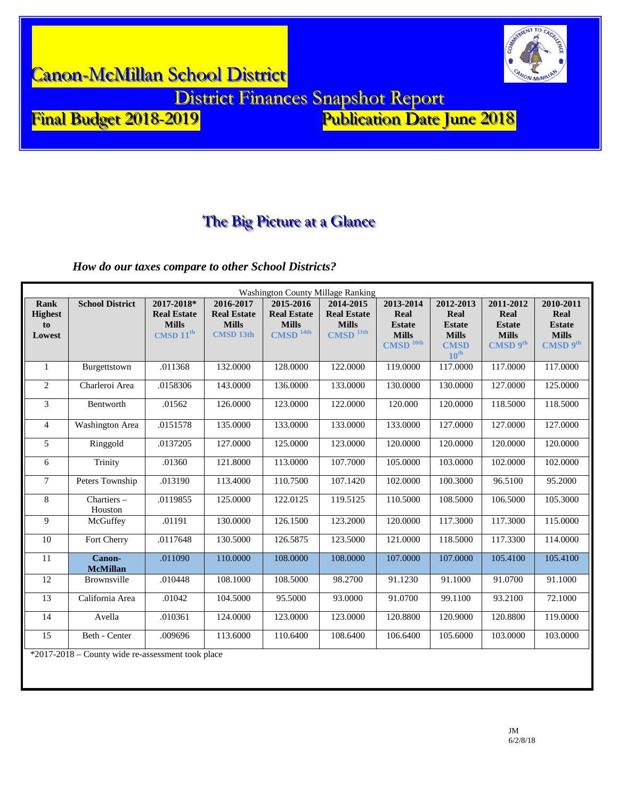

District Finances Snapshot Report<br>Final Budget 2018-2019 Publication Date

l<br>L

Publication Date June 2018

### The Big Picture at a Glance

### *How do our taxes compare to other School Districts?*

| <b>Washington County Millage Ranking</b>          |                           |                                                                           |                                                                     |                                                                           |                                                                           |                                                                              |                                                                                              |                                                                |                                                                |
|---------------------------------------------------|---------------------------|---------------------------------------------------------------------------|---------------------------------------------------------------------|---------------------------------------------------------------------------|---------------------------------------------------------------------------|------------------------------------------------------------------------------|----------------------------------------------------------------------------------------------|----------------------------------------------------------------|----------------------------------------------------------------|
| <b>Rank</b><br><b>Highest</b><br>to<br>Lowest     | <b>School District</b>    | 2017-2018*<br><b>Real Estate</b><br><b>Mills</b><br>CMSD 11 <sup>th</sup> | 2016-2017<br><b>Real Estate</b><br><b>Mills</b><br><b>CMSD 13th</b> | 2015-2016<br><b>Real Estate</b><br><b>Mills</b><br>$CMSD$ <sup>14th</sup> | 2014-2015<br><b>Real Estate</b><br><b>Mills</b><br>$CMSD$ <sup>11th</sup> | 2013-2014<br>Real<br><b>Estate</b><br><b>Mills</b><br>$CMSD$ <sup>10th</sup> | 2012-2013<br><b>Real</b><br><b>Estate</b><br><b>Mills</b><br><b>CMSD</b><br>$10^{\text{th}}$ | 2011-2012<br>Real<br><b>Estate</b><br><b>Mills</b><br>CMSD 9th | 2010-2011<br>Real<br><b>Estate</b><br><b>Mills</b><br>CMSD 9th |
| 1                                                 | Burgettstown              | .011368                                                                   | 132.0000                                                            | 128.0000                                                                  | 122.0000                                                                  | 119.0000                                                                     | 117.0000                                                                                     | 117.0000                                                       | 117.0000                                                       |
| 2                                                 | Charleroi Area            | .0158306                                                                  | 143.0000                                                            | 136.0000                                                                  | 133.0000                                                                  | 130.0000                                                                     | 130.0000                                                                                     | 127.0000                                                       | 125.0000                                                       |
| 3                                                 | Bentworth                 | .01562                                                                    | 126.0000                                                            | 123.0000                                                                  | 122.0000                                                                  | 120.000                                                                      | 120.0000                                                                                     | 118.5000                                                       | 118.5000                                                       |
| $\overline{4}$                                    | Washington Area           | .0151578                                                                  | 135.0000                                                            | 133.0000                                                                  | 133.0000                                                                  | 133.0000                                                                     | 127.0000                                                                                     | 127.0000                                                       | 127.0000                                                       |
| 5                                                 | Ringgold                  | .0137205                                                                  | 127.0000                                                            | 125.0000                                                                  | 123.0000                                                                  | 120.0000                                                                     | 120.0000                                                                                     | 120.0000                                                       | 120.0000                                                       |
| 6                                                 | Trinity                   | .01360                                                                    | 121.8000                                                            | 113.0000                                                                  | 107.7000                                                                  | 105.0000                                                                     | 103.0000                                                                                     | 102.0000                                                       | 102.0000                                                       |
| $\tau$                                            | Peters Township           | .013190                                                                   | 113.4000                                                            | 110.7500                                                                  | 107.1420                                                                  | 102.0000                                                                     | 100.3000                                                                                     | 96.5100                                                        | 95.2000                                                        |
| 8                                                 | Chartiers $-$<br>Houston  | .0119855                                                                  | 125.0000                                                            | 122.0125                                                                  | 119.5125                                                                  | 110.5000                                                                     | 108.5000                                                                                     | 106.5000                                                       | 105.3000                                                       |
| 9                                                 | McGuffey                  | .01191                                                                    | 130.0000                                                            | 126.1500                                                                  | 123.2000                                                                  | 120.0000                                                                     | 117.3000                                                                                     | 117.3000                                                       | 115.0000                                                       |
| 10                                                | Fort Cherry               | .0117648                                                                  | 130.5000                                                            | 126.5875                                                                  | 123.5000                                                                  | 121.0000                                                                     | 118.5000                                                                                     | 117.3300                                                       | 114.0000                                                       |
| 11                                                | Canon-<br><b>McMillan</b> | .011090                                                                   | 110.0000                                                            | 108.0000                                                                  | 108.0000                                                                  | 107.0000                                                                     | 107.0000                                                                                     | 105.4100                                                       | 105.4100                                                       |
| 12                                                | Brownsville               | .010448                                                                   | 108.1000                                                            | 108.5000                                                                  | 98.2700                                                                   | 91.1230                                                                      | 91.1000                                                                                      | 91.0700                                                        | 91.1000                                                        |
| 13                                                | California Area           | .01042                                                                    | 104.5000                                                            | 95.5000                                                                   | 93.0000                                                                   | 91.0700                                                                      | 99.1100                                                                                      | 93.2100                                                        | 72.1000                                                        |
| 14                                                | Avella                    | .010361                                                                   | 124.0000                                                            | 123.0000                                                                  | 123.0000                                                                  | 120.8800                                                                     | 120.9000                                                                                     | 120.8800                                                       | 119.0000                                                       |
| 15                                                | Beth - Center             | .009696                                                                   | 113.6000                                                            | 110.6400                                                                  | 108.6400                                                                  | 106.6400                                                                     | 105.6000                                                                                     | 103.0000                                                       | 103.0000                                                       |
| *2017-2018 - County wide re-assessment took place |                           |                                                                           |                                                                     |                                                                           |                                                                           |                                                                              |                                                                                              |                                                                |                                                                |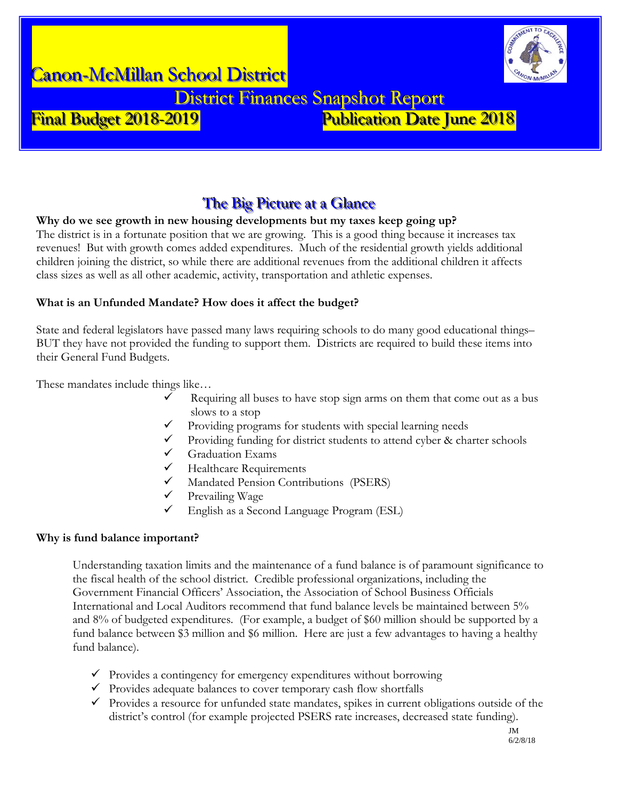

District Finances Snapshot Report

l<br>L

# Final Budget 2018-2019 **Publication Date June 2018**

## The Big Picture at a Glance

### **Why do we see growth in new housing developments but my taxes keep going up?**

The district is in a fortunate position that we are growing. This is a good thing because it increases tax revenues! But with growth comes added expenditures. Much of the residential growth yields additional children joining the district, so while there are additional revenues from the additional children it affects class sizes as well as all other academic, activity, transportation and athletic expenses.

### **What is an Unfunded Mandate? How does it affect the budget?**

State and federal legislators have passed many laws requiring schools to do many good educational things– BUT they have not provided the funding to support them. Districts are required to build these items into their General Fund Budgets.

These mandates include things like…

- Requiring all buses to have stop sign arms on them that come out as a bus slows to a stop
- Providing programs for students with special learning needs
- $\checkmark$  Providing funding for district students to attend cyber & charter schools
- $\checkmark$  Graduation Exams
- $\checkmark$  Healthcare Requirements
- Mandated Pension Contributions (PSERS)
- $\checkmark$  Prevailing Wage
- English as a Second Language Program (ESL)

### **Why is fund balance important?**

Understanding taxation limits and the maintenance of a fund balance is of paramount significance to the fiscal health of the school district. Credible professional organizations, including the Government Financial Officers' Association, the Association of School Business Officials International and Local Auditors recommend that fund balance levels be maintained between 5% and 8% of budgeted expenditures. (For example, a budget of \$60 million should be supported by a fund balance between \$3 million and \$6 million. Here are just a few advantages to having a healthy fund balance).

- $\checkmark$  Provides a contingency for emergency expenditures without borrowing
- $\checkmark$  Provides adequate balances to cover temporary cash flow shortfalls
- $\checkmark$  Provides a resource for unfunded state mandates, spikes in current obligations outside of the district's control (for example projected PSERS rate increases, decreased state funding).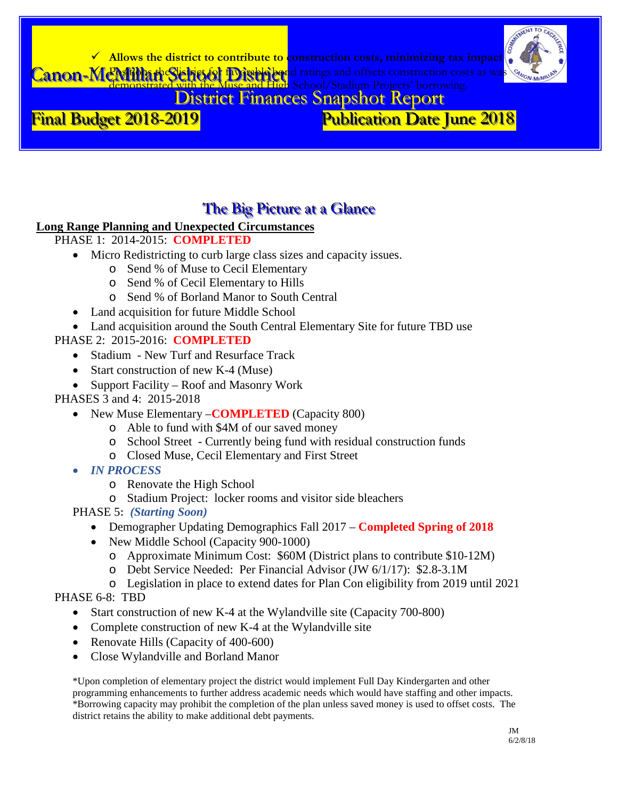

### The Big Picture at a Glance

### **Long Range Planning and Unexpected Circumstances**

PHASE 1: 2014-2015: **COMPLETED**

- Micro Redistricting to curb large class sizes and capacity issues.
	- o Send % of Muse to Cecil Elementary
	- o Send % of Cecil Elementary to Hills
	- o Send % of Borland Manor to South Central
- Land acquisition for future Middle School
- Land acquisition around the South Central Elementary Site for future TBD use

PHASE 2: 2015-2016: **COMPLETED**

- Stadium New Turf and Resurface Track
- Start construction of new K-4 (Muse)
- Support Facility Roof and Masonry Work
- PHASES 3 and 4: 2015-2018
	- New Muse Elementary **COMPLETED** (Capacity 800)
		- o Able to fund with \$4M of our saved money
		- o School Street Currently being fund with residual construction funds
		- o Closed Muse, Cecil Elementary and First Street
		- *IN PROCESS*
			- o Renovate the High School
			- o Stadium Project: locker rooms and visitor side bleachers

PHASE 5**:** *(Starting Soon)*

- Demographer Updating Demographics Fall 2017 **Completed Spring of 2018**
- New Middle School (Capacity 900-1000)
	- o Approximate Minimum Cost: \$60M (District plans to contribute \$10-12M)
	- o Debt Service Needed: Per Financial Advisor (JW 6/1/17): \$2.8-3.1M
	- o Legislation in place to extend dates for Plan Con eligibility from 2019 until 2021

### PHASE 6-8: TBD

- Start construction of new K-4 at the Wylandville site (Capacity 700-800)
- Complete construction of new K-4 at the Wylandville site
- Renovate Hills (Capacity of 400-600)
- Close Wylandville and Borland Manor

\*Upon completion of elementary project the district would implement Full Day Kindergarten and other programming enhancements to further address academic needs which would have staffing and other impacts. \*Borrowing capacity may prohibit the completion of the plan unless saved money is used to offset costs. The district retains the ability to make additional debt payments.